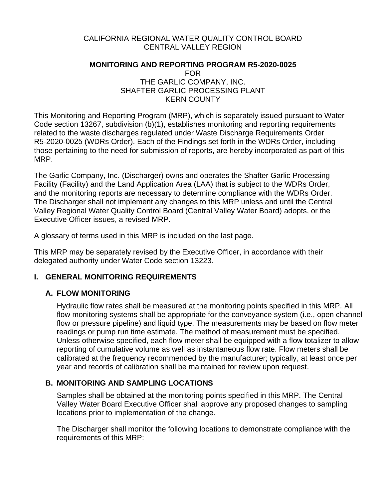### CALIFORNIA REGIONAL WATER QUALITY CONTROL BOARD CENTRAL VALLEY REGION

## **MONITORING AND REPORTING PROGRAM R5-2020-0025** FOR

## THE GARLIC COMPANY, INC. SHAFTER GARLIC PROCESSING PLANT KERN COUNTY

This Monitoring and Reporting Program (MRP), which is separately issued pursuant to Water Code section 13267, subdivision (b)(1), establishes monitoring and reporting requirements related to the waste discharges regulated under Waste Discharge Requirements Order R5-2020-0025 (WDRs Order). Each of the Findings set forth in the WDRs Order, including those pertaining to the need for submission of reports, are hereby incorporated as part of this MRP.

The Garlic Company, Inc. (Discharger) owns and operates the Shafter Garlic Processing Facility (Facility) and the Land Application Area (LAA) that is subject to the WDRs Order, and the monitoring reports are necessary to determine compliance with the WDRs Order. The Discharger shall not implement any changes to this MRP unless and until the Central Valley Regional Water Quality Control Board (Central Valley Water Board) adopts, or the Executive Officer issues, a revised MRP.

A glossary of terms used in this MRP is included on the last page.

This MRP may be separately revised by the Executive Officer, in accordance with their delegated authority under Water Code section 13223.

# **I. GENERAL MONITORING REQUIREMENTS**

## **A. FLOW MONITORING**

Hydraulic flow rates shall be measured at the monitoring points specified in this MRP. All flow monitoring systems shall be appropriate for the conveyance system (i.e., open channel flow or pressure pipeline) and liquid type. The measurements may be based on flow meter readings or pump run time estimate. The method of measurement must be specified. Unless otherwise specified, each flow meter shall be equipped with a flow totalizer to allow reporting of cumulative volume as well as instantaneous flow rate. Flow meters shall be calibrated at the frequency recommended by the manufacturer; typically, at least once per year and records of calibration shall be maintained for review upon request.

# **B. MONITORING AND SAMPLING LOCATIONS**

Samples shall be obtained at the monitoring points specified in this MRP. The Central Valley Water Board Executive Officer shall approve any proposed changes to sampling locations prior to implementation of the change.

The Discharger shall monitor the following locations to demonstrate compliance with the requirements of this MRP: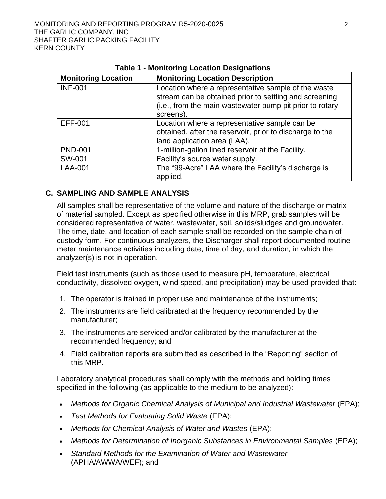| <b>Monitoring Location</b> | <b>Monitoring Location Description</b>                                                                                                                                                 |
|----------------------------|----------------------------------------------------------------------------------------------------------------------------------------------------------------------------------------|
| <b>INF-001</b>             | Location where a representative sample of the waste<br>stream can be obtained prior to settling and screening<br>(i.e., from the main wastewater pump pit prior to rotary<br>screens). |
| <b>EFF-001</b>             | Location where a representative sample can be<br>obtained, after the reservoir, prior to discharge to the<br>land application area (LAA).                                              |
| <b>PND-001</b>             | 1-million-gallon lined reservoir at the Facility.                                                                                                                                      |
| SW-001                     | Facility's source water supply.                                                                                                                                                        |
| <b>LAA-001</b>             | The "99-Acre" LAA where the Facility's discharge is<br>applied.                                                                                                                        |

### **Table 1 - Monitoring Location Designations**

#### **C. SAMPLING AND SAMPLE ANALYSIS**

All samples shall be representative of the volume and nature of the discharge or matrix of material sampled. Except as specified otherwise in this MRP, grab samples will be considered representative of water, wastewater, soil, solids/sludges and groundwater. The time, date, and location of each sample shall be recorded on the sample chain of custody form. For continuous analyzers, the Discharger shall report documented routine meter maintenance activities including date, time of day, and duration, in which the analyzer(s) is not in operation.

Field test instruments (such as those used to measure pH, temperature, electrical conductivity, dissolved oxygen, wind speed, and precipitation) may be used provided that:

- 1. The operator is trained in proper use and maintenance of the instruments;
- 2. The instruments are field calibrated at the frequency recommended by the manufacturer;
- 3. The instruments are serviced and/or calibrated by the manufacturer at the recommended frequency; and
- 4. Field calibration reports are submitted as described in the "Reporting" section of this MRP.

Laboratory analytical procedures shall comply with the methods and holding times specified in the following (as applicable to the medium to be analyzed):

- Methods for Organic Chemical Analysis of Municipal and Industrial Wastewater (EPA);
- *Test Methods for Evaluating Solid Waste* (EPA);
- *Methods for Chemical Analysis of Water and Wastes* (EPA);
- Methods for Determination of Inorganic Substances in Environmental Samples (EPA);
- *Standard Methods for the Examination of Water and Wastewater* (APHA/AWWA/WEF); and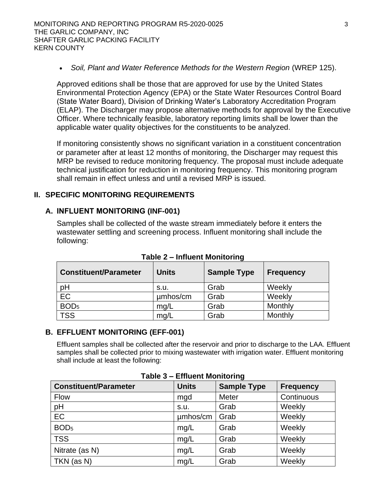• Soil, Plant and Water Reference Methods for the Western Region (WREP 125).

Approved editions shall be those that are approved for use by the United States Environmental Protection Agency (EPA) or the State Water Resources Control Board (State Water Board), Division of Drinking Water's Laboratory Accreditation Program (ELAP). The Discharger may propose alternative methods for approval by the Executive Officer. Where technically feasible, laboratory reporting limits shall be lower than the applicable water quality objectives for the constituents to be analyzed.

If monitoring consistently shows no significant variation in a constituent concentration or parameter after at least 12 months of monitoring, the Discharger may request this MRP be revised to reduce monitoring frequency. The proposal must include adequate technical justification for reduction in monitoring frequency. This monitoring program shall remain in effect unless and until a revised MRP is issued.

### **II. SPECIFIC MONITORING REQUIREMENTS**

### **A. INFLUENT MONITORING (INF-001)**

Samples shall be collected of the waste stream immediately before it enters the wastewater settling and screening process. Influent monitoring shall include the following:

| <b>Constituent/Parameter</b> | <b>Units</b> | <b>Sample Type</b> | <b>Frequency</b> |
|------------------------------|--------------|--------------------|------------------|
| pH                           | s.u.         | Grab               | Weekly           |
| EC                           | umhos/cm     | Grab               | Weekly           |
| BOD <sub>5</sub>             | mg/L         | Grab               | Monthly          |
| <b>TSS</b>                   | mg/L         | Grab               | Monthly          |

**Table 2 – Influent Monitoring** 

#### **B. EFFLUENT MONITORING (EFF-001)**

Effluent samples shall be collected after the reservoir and prior to discharge to the LAA. Effluent samples shall be collected prior to mixing wastewater with irrigation water. Effluent monitoring shall include at least the following:

| $1$ able $3$ – Linuent Montoning |              |                    |                  |
|----------------------------------|--------------|--------------------|------------------|
| <b>Constituent/Parameter</b>     | <b>Units</b> | <b>Sample Type</b> | <b>Frequency</b> |
| Flow                             | mgd          | Meter              | Continuous       |
| pH                               | S.U.         | Grab               | Weekly           |
| <b>EC</b>                        | umhos/cm     | Grab               | Weekly           |
| BOD <sub>5</sub>                 | mg/L         | Grab               | Weekly           |
| <b>TSS</b>                       | mg/L         | Grab               | Weekly           |
| Nitrate (as N)                   | mg/L         | Grab               | Weekly           |
| TKN (as N)                       | mg/L         | Grab               | Weekly           |

**Table 3 – Effluent Monitoring**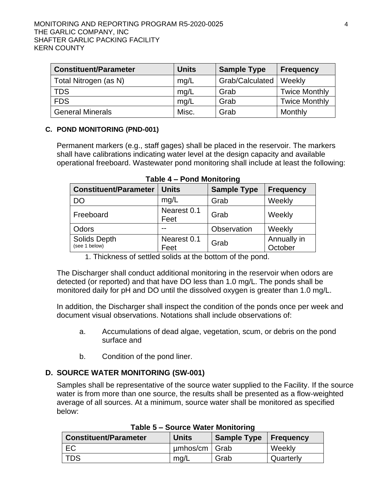| <b>Constituent/Parameter</b> | <b>Units</b> | <b>Sample Type</b> | <b>Frequency</b>     |
|------------------------------|--------------|--------------------|----------------------|
| Total Nitrogen (as N)        | mq/L         | Grab/Calculated    | Weekly               |
| <b>TDS</b>                   | mg/L         | Grab               | <b>Twice Monthly</b> |
| <b>FDS</b>                   | mq/L         | Grab               | <b>Twice Monthly</b> |
| <b>General Minerals</b>      | Misc.        | Grab               | Monthly              |

#### **C. POND MONITORING (PND-001)**

Permanent markers (e.g., staff gages) shall be placed in the reservoir. The markers shall have calibrations indicating water level at the design capacity and available operational freeboard. Wastewater pond monitoring shall include at least the following:

| <b>Constituent/Parameter</b>  | <b>Units</b>        | <b>Sample Type</b> | <b>Frequency</b>       |
|-------------------------------|---------------------|--------------------|------------------------|
| DO                            | mg/L                | Grab               | Weekly                 |
| Freeboard                     | Nearest 0.1<br>Feet | Grab               | Weekly                 |
| Odors                         |                     | Observation        | Weekly                 |
| Solids Depth<br>(see 1 below) | Nearest 0.1<br>Feet | Grab               | Annually in<br>October |

**Table 4 – Pond Monitoring** 

1. Thickness of settled solids at the bottom of the pond.

The Discharger shall conduct additional monitoring in the reservoir when odors are detected (or reported) and that have DO less than 1.0 mg/L. The ponds shall be monitored daily for pH and DO until the dissolved oxygen is greater than 1.0 mg/L.

In addition, the Discharger shall inspect the condition of the ponds once per week and document visual observations. Notations shall include observations of:

- a. Accumulations of dead algae, vegetation, scum, or debris on the pond surface and
- b. Condition of the pond liner.

## **D. SOURCE WATER MONITORING (SW-001)**

Samples shall be representative of the source water supplied to the Facility. If the source water is from more than one source, the results shall be presented as a flow-weighted average of all sources. At a minimum, source water shall be monitored as specified below:

| <b>Constituent/Parameter</b> | <b>Units</b>    | Sample Type   Frequency |           |
|------------------------------|-----------------|-------------------------|-----------|
| EC                           | $µmbos/cm$ Grab |                         | Weekly    |
| <b>TDS</b>                   | mg/L            | Grab                    | Quarterly |

**Table 5 – Source Water Monitoring**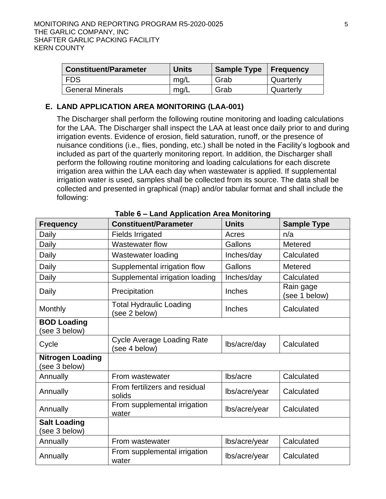| <b>Constituent/Parameter</b> | <b>Units</b> | Sample Type   Frequency |           |
|------------------------------|--------------|-------------------------|-----------|
| l FDS.                       | mg/L         | Grab                    | Quarterly |
| <b>General Minerals</b>      | mg/L         | Grab                    | Quarterly |

## **E. LAND APPLICATION AREA MONITORING (LAA-001)**

The Discharger shall perform the following routine monitoring and loading calculations for the LAA. The Discharger shall inspect the LAA at least once daily prior to and during irrigation events. Evidence of erosion, field saturation, runoff, or the presence of nuisance conditions (i.e., flies, ponding, etc.) shall be noted in the Facility's logbook and included as part of the quarterly monitoring report. In addition, the Discharger shall perform the following routine monitoring and loading calculations for each discrete irrigation area within the LAA each day when wastewater is applied. If supplemental irrigation water is used, samples shall be collected from its source. The data shall be collected and presented in graphical (map) and/or tabular format and shall include the following:

| <b>Frequency</b>                         | <b>Constituent/Parameter</b>                       | <b>Units</b>  | <b>Sample Type</b>         |
|------------------------------------------|----------------------------------------------------|---------------|----------------------------|
| Daily                                    | <b>Fields Irrigated</b>                            | Acres         | n/a                        |
| Daily                                    | <b>Wastewater flow</b>                             | Gallons       | Metered                    |
| Daily                                    | Wastewater loading                                 | Inches/day    | Calculated                 |
| Daily                                    | Supplemental irrigation flow                       | Gallons       | Metered                    |
| Daily                                    | Supplemental irrigation loading                    | Inches/day    | Calculated                 |
| Daily                                    | Precipitation                                      | Inches        | Rain gage<br>(see 1 below) |
| Monthly                                  | <b>Total Hydraulic Loading</b><br>(see 2 below)    | Inches        | Calculated                 |
| <b>BOD Loading</b><br>(see 3 below)      |                                                    |               |                            |
| Cycle                                    | <b>Cycle Average Loading Rate</b><br>(see 4 below) | lbs/acre/day  | Calculated                 |
| <b>Nitrogen Loading</b><br>(see 3 below) |                                                    |               |                            |
| Annually                                 | From wastewater                                    | lbs/acre      | Calculated                 |
| Annually                                 | From fertilizers and residual<br>solids            | lbs/acre/year | Calculated                 |
| Annually                                 | From supplemental irrigation<br>water              | lbs/acre/year | Calculated                 |
| <b>Salt Loading</b><br>(see 3 below)     |                                                    |               |                            |
| Annually                                 | From wastewater                                    | lbs/acre/year | Calculated                 |
| Annually                                 | From supplemental irrigation<br>water              | lbs/acre/year | Calculated                 |

**Table 6 – Land Application Area Monitoring**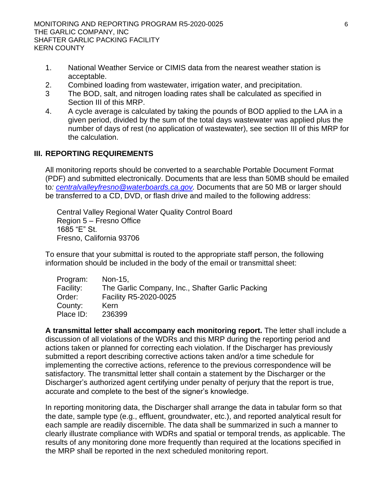- 1. National Weather Service or CIMIS data from the nearest weather station is acceptable.
- 2. Combined loading from wastewater, irrigation water, and precipitation.
- 3 The BOD, salt, and nitrogen loading rates shall be calculated as specified in Section III of this MRP.
- 4. A cycle average is calculated by taking the pounds of BOD applied to the LAA in a given period, divided by the sum of the total days wastewater was applied plus the number of days of rest (no application of wastewater), see section III of this MRP for the calculation.

## **III. REPORTING REQUIREMENTS**

All monitoring reports should be converted to a searchable Portable Document Format (PDF) and submitted electronically. Documents that are less than 50MB should be emailed to*: [centralvalleyfresno@waterboards.ca.gov.](mailto:centralvalleyfresno@waterboards.ca.gov)* Documents that are 50 MB or larger should be transferred to a CD, DVD, or flash drive and mailed to the following address:

Central Valley Regional Water Quality Control Board Region 5 – Fresno Office 1685 "E" St. Fresno, California 93706

To ensure that your submittal is routed to the appropriate staff person, the following information should be included in the body of the email or transmittal sheet:

| Program:  | Non-15.                                          |
|-----------|--------------------------------------------------|
| Facility: | The Garlic Company, Inc., Shafter Garlic Packing |
| Order:    | Facility R5-2020-0025                            |
| County:   | Kern                                             |
| Place ID: | 236399                                           |

**A transmittal letter shall accompany each monitoring report.** The letter shall include a discussion of all violations of the WDRs and this MRP during the reporting period and actions taken or planned for correcting each violation. If the Discharger has previously submitted a report describing corrective actions taken and/or a time schedule for implementing the corrective actions, reference to the previous correspondence will be satisfactory. The transmittal letter shall contain a statement by the Discharger or the Discharger's authorized agent certifying under penalty of perjury that the report is true, accurate and complete to the best of the signer's knowledge.

In reporting monitoring data, the Discharger shall arrange the data in tabular form so that the date, sample type (e.g., effluent, groundwater, etc.), and reported analytical result for each sample are readily discernible. The data shall be summarized in such a manner to clearly illustrate compliance with WDRs and spatial or temporal trends, as applicable. The results of any monitoring done more frequently than required at the locations specified in the MRP shall be reported in the next scheduled monitoring report.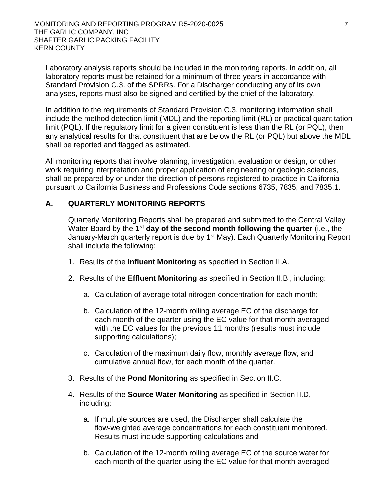Laboratory analysis reports should be included in the monitoring reports. In addition, all laboratory reports must be retained for a minimum of three years in accordance with Standard Provision C.3. of the SPRRs. For a Discharger conducting any of its own analyses, reports must also be signed and certified by the chief of the laboratory.

In addition to the requirements of Standard Provision C.3, monitoring information shall include the method detection limit (MDL) and the reporting limit (RL) or practical quantitation limit (PQL). If the regulatory limit for a given constituent is less than the RL (or PQL), then any analytical results for that constituent that are below the RL (or PQL) but above the MDL shall be reported and flagged as estimated.

All monitoring reports that involve planning, investigation, evaluation or design, or other work requiring interpretation and proper application of engineering or geologic sciences, shall be prepared by or under the direction of persons registered to practice in California pursuant to California Business and Professions Code sections 6735, 7835, and 7835.1.

### **A. QUARTERLY MONITORING REPORTS**

Quarterly Monitoring Reports shall be prepared and submitted to the Central Valley Water Board by the 1<sup>st</sup> day of the second month following the quarter (i.e., the January-March quarterly report is due by 1<sup>st</sup> May). Each Quarterly Monitoring Report shall include the following:

- 1. Results of the **Influent Monitoring** as specified in Section II.A.
- 2. Results of the **Effluent Monitoring** as specified in Section II.B., including:
	- a. Calculation of average total nitrogen concentration for each month;
	- b. Calculation of the 12-month rolling average EC of the discharge for each month of the quarter using the EC value for that month averaged with the EC values for the previous 11 months (results must include supporting calculations);
	- c. Calculation of the maximum daily flow, monthly average flow, and cumulative annual flow, for each month of the quarter.
- 3. Results of the **Pond Monitoring** as specified in Section II.C.
- 4. Results of the **Source Water Monitoring** as specified in Section II.D, including:
	- a. If multiple sources are used, the Discharger shall calculate the flow-weighted average concentrations for each constituent monitored. Results must include supporting calculations and
	- b. Calculation of the 12-month rolling average EC of the source water for each month of the quarter using the EC value for that month averaged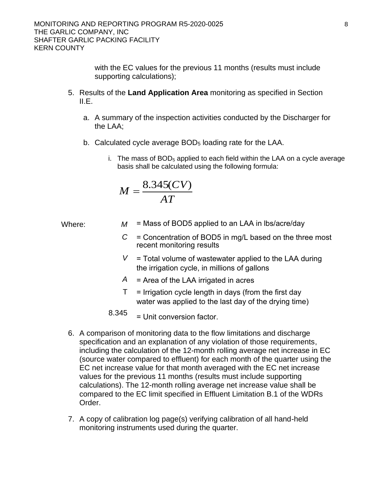with the EC values for the previous 11 months (results must include supporting calculations);

- 5. Results of the **Land Application Area** monitoring as specified in Section II.E.
	- a. A summary of the inspection activities conducted by the Discharger for the LAA;
	- b. Calculated cycle average BOD5 loading rate for the LAA.
		- i. The mass of  $BOD<sub>5</sub>$  applied to each field within the LAA on a cycle average basis shall be calculated using the following formula:

$$
M = \frac{8.345(CV)}{AT}
$$

Where:

- $M =$  Mass of BOD5 applied to an LAA in lbs/acre/day
	- *C*  = Concentration of BOD5 in mg/L based on the three most recent monitoring results
	- $V =$  Total volume of wastewater applied to the LAA during the irrigation cycle, in millions of gallons
	- *A*  = Area of the LAA irrigated in acres
	- $\mathsf{T}$ = Irrigation cycle length in days (from the first day water was applied to the last day of the drying time)

8.345 = Unit conversion factor.

- 6. A comparison of monitoring data to the flow limitations and discharge specification and an explanation of any violation of those requirements, including the calculation of the 12-month rolling average net increase in EC (source water compared to effluent) for each month of the quarter using the EC net increase value for that month averaged with the EC net increase values for the previous 11 months (results must include supporting calculations). The 12-month rolling average net increase value shall be compared to the EC limit specified in Effluent Limitation B.1 of the WDRs Order.
- 7. A copy of calibration log page(s) verifying calibration of all hand-held monitoring instruments used during the quarter.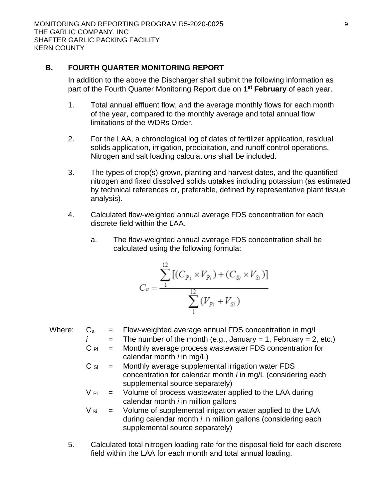### **B. FOURTH QUARTER MONITORING REPORT**

In addition to the above the Discharger shall submit the following information as part of the Fourth Quarter Monitoring Report due on **1 st February** of each year.

- 1. Total annual effluent flow, and the average monthly flows for each month of the year, compared to the monthly average and total annual flow limitations of the WDRs Order.
- 2. For the LAA, a chronological log of dates of fertilizer application, residual solids application, irrigation, precipitation, and runoff control operations. Nitrogen and salt loading calculations shall be included.
- 3. The types of crop(s) grown, planting and harvest dates, and the quantified nitrogen and fixed dissolved solids uptakes including potassium (as estimated by technical references or, preferable, defined by representative plant tissue analysis).
- 4. Calculated flow-weighted annual average FDS concentration for each discrete field within the LAA.
	- a. The flow-weighted annual average FDS concentration shall be calculated using the following formula:

$$
C_a = \frac{\sum_{1}^{12} \left[ (C_{P_i} \times V_{P_i}) + (C_{Si} \times V_{Si}) \right]}{\sum_{1}^{12} (V_{P_i} + V_{Si})}
$$

Where:  $C_a$  = Flow-weighted average annual FDS concentration in mg/L  $\overline{a}$  = The number of the month (e.g., January = 1, February = 2, etc.)

$$
= \text{The number of the month (e.g., January = 1, February = 2, etc.)}
$$

- $C$   $P_i$  = Monthly average process wastewater FDS concentration for calendar month *i* in mg/L)
- $C_{Si}$  = Monthly average supplemental irrigation water FDS concentration for calendar month *i* in mg/L (considering each supplemental source separately)
- $V_{\text{Pi}}$  = Volume of process wastewater applied to the LAA during calendar month *i* in million gallons

$$
V_{Si}
$$
 = Volume of supplemental irrigation water applied to the LAA during calendar month *i* in million gallons (considering each supplemental source separately)

5. Calculated total nitrogen loading rate for the disposal field for each discrete field within the LAA for each month and total annual loading.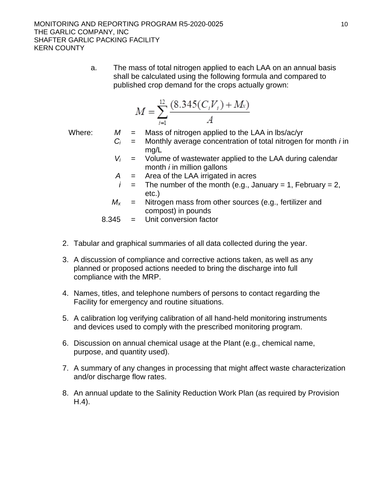a. The mass of total nitrogen applied to each LAA on an annual basis shall be calculated using the following formula and compared to published crop demand for the crops actually grown:

$$
M = \sum_{i=1}^{12} \frac{(8.345(C_i V_i) + M_i)}{A}
$$

Where:  $M =$  Mass of nitrogen applied to the LAA in lbs/ac/yr

- *C<sup>i</sup>* = Monthly average concentration of total nitrogen for month *i* in mg/L
- $V_i$  = Volume of wastewater applied to the LAA during calendar month *i* in million gallons
- *A* = Area of the LAA irrigated in acres
- $i =$  The number of the month (e.g., January = 1, February = 2, etc.)
- $M_x$  = Nitrogen mass from other sources (e.g., fertilizer and compost) in pounds

8.345 = Unit conversion factor

- 2. Tabular and graphical summaries of all data collected during the year.
- 3. A discussion of compliance and corrective actions taken, as well as any planned or proposed actions needed to bring the discharge into full compliance with the MRP.
- 4. Names, titles, and telephone numbers of persons to contact regarding the Facility for emergency and routine situations.
- 5. A calibration log verifying calibration of all hand-held monitoring instruments and devices used to comply with the prescribed monitoring program.
- 6. Discussion on annual chemical usage at the Plant (e.g., chemical name, purpose, and quantity used).
- 7. A summary of any changes in processing that might affect waste characterization and/or discharge flow rates.
- 8. An annual update to the Salinity Reduction Work Plan (as required by Provision H.4).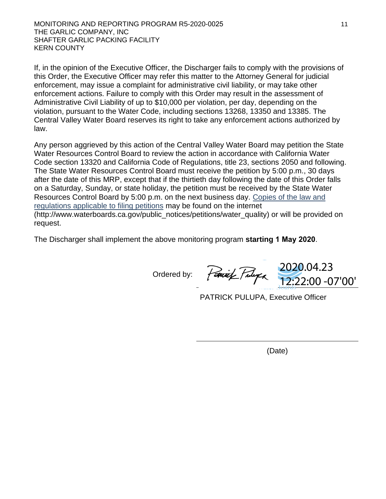If, in the opinion of the Executive Officer, the Discharger fails to comply with the provisions of this Order, the Executive Officer may refer this matter to the Attorney General for judicial enforcement, may issue a complaint for administrative civil liability, or may take other enforcement actions. Failure to comply with this Order may result in the assessment of Administrative Civil Liability of up to \$10,000 per violation, per day, depending on the violation, pursuant to the Water Code, including sections 13268, 13350 and 13385. The Central Valley Water Board reserves its right to take any enforcement actions authorized by law.

Any person aggrieved by this action of the Central Valley Water Board may petition the State Water Resources Control Board to review the action in accordance with California Water Code section 13320 and California Code of Regulations, title 23, sections 2050 and following. The State Water Resources Control Board must receive the petition by 5:00 p.m., 30 days after the date of this MRP, except that if the thirtieth day following the date of this Order falls on a Saturday, Sunday, or state holiday, the petition must be received by the State Water Resources Control Board by 5:00 p.m. on the next business day. [Copies of the law and](http://www.waterboards.ca.gov/public_notices/petitions/water_quality) [regulations applicable to filing petitions](http://www.waterboards.ca.gov/public_notices/petitions/water_quality) may be found on the internet (http://www.waterboards.ca.gov/public\_notices/petitions/water\_quality) or will be provided on request.

The Discharger shall implement the above monitoring program **starting 1 May 2020**.

Ordered by:

2020.04.23 12:22:00 -07'00'

PATRICK PULUPA, Executive Officer

(Date)